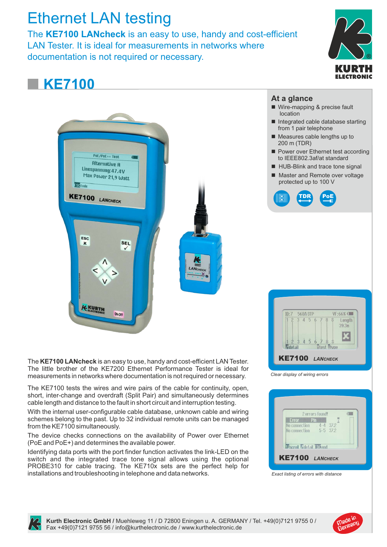# Ethernet LAN testing

The **KE7100 LANcheck** is an easy to use, handy and cost-efficient LAN Tester. It is ideal for measurements in networks where documentation is not required or necessary. **®**



## **KE7100**



The **KE7100 LANcheck**is an easy to use, handy and cost-efficient LAN Tester. The little brother of the KE7200 Ethernet Performance Tester is ideal for measurements in networks where documentation is not required or necessary.

The KE7100 tests the wires and wire pairs of the cable for continuity, open, short, inter-change and overdraft (Split Pair) and simultaneously determines cable length and distance to the fault in short circuit and interruption testing.

With the internal user-configurable cable database, unknown cable and wiring schemes belong to the past. Up to 32 individual remote units can be managed from the KE7100 simultaneously.

The device checks connections on the availability of Power over Ethernet (PoE and PoE+) and determines the available power.

Identifying data ports with the port finder function activates the link-LED on the switch and the integrated trace tone signal allows using the optional PROBE310 for cable tracing. The KE710x sets are the perfect help for installations and troubleshooting in telephone and data networks.

## **At a glance**

- Wire-mapping & precise fault location
- $\blacksquare$  Integrated cable database starting from 1 pair telephone
- $\blacksquare$  Measures cable lengths up to 200 m (TDR)
- Power over Ethernet test according to IEEE802.3af/at standard
- HUB-Blink and trace tone signal
- Master and Remote over voltage protected up to 100 V



| 2 3 4 5 6 7 8 \$<br>Length<br>39.3m<br>$\frac{2}{3}$ $\frac{3}{4}$ $\frac{5}{5}$ $\frac{6}{7}$ $\frac{8}{8}$ $\frac{8}{8}$<br><b>M</b> detail | ID:7 | 568A STP |  |  | VF:66% CIIII |
|-----------------------------------------------------------------------------------------------------------------------------------------------|------|----------|--|--|--------------|
|                                                                                                                                               |      |          |  |  |              |
|                                                                                                                                               |      |          |  |  |              |
|                                                                                                                                               |      |          |  |  |              |

*Clear display of wiring errors*

|                               | 2 errors found! |  |
|-------------------------------|-----------------|--|
| Error Pin<br>No connection    | $4 - 4$ 37.2    |  |
| No connection 5-5 37.2        |                 |  |
| <b>Nscroll Adetail Strend</b> |                 |  |

*Exact listing of errors with distance*